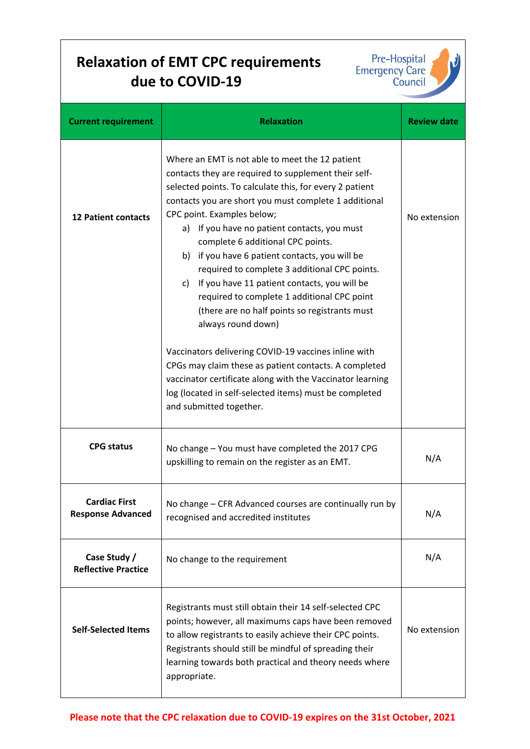## **Relaxation of EMT CPC requirements due to COVID‐19**



| <b>Current requirement</b>                       | <b>Relaxation</b>                                                                                                                                                                                                                                                                                                                                                                                                                                                                                                                                                                                                                                                                                                                                                                                                                                                  | <b>Review date</b> |
|--------------------------------------------------|--------------------------------------------------------------------------------------------------------------------------------------------------------------------------------------------------------------------------------------------------------------------------------------------------------------------------------------------------------------------------------------------------------------------------------------------------------------------------------------------------------------------------------------------------------------------------------------------------------------------------------------------------------------------------------------------------------------------------------------------------------------------------------------------------------------------------------------------------------------------|--------------------|
| <b>12 Patient contacts</b>                       | Where an EMT is not able to meet the 12 patient<br>contacts they are required to supplement their self-<br>selected points. To calculate this, for every 2 patient<br>contacts you are short you must complete 1 additional<br>CPC point. Examples below;<br>a) If you have no patient contacts, you must<br>complete 6 additional CPC points.<br>b) if you have 6 patient contacts, you will be<br>required to complete 3 additional CPC points.<br>c) If you have 11 patient contacts, you will be<br>required to complete 1 additional CPC point<br>(there are no half points so registrants must<br>always round down)<br>Vaccinators delivering COVID-19 vaccines inline with<br>CPGs may claim these as patient contacts. A completed<br>vaccinator certificate along with the Vaccinator learning<br>log (located in self-selected items) must be completed | No extension       |
|                                                  | and submitted together.                                                                                                                                                                                                                                                                                                                                                                                                                                                                                                                                                                                                                                                                                                                                                                                                                                            |                    |
| <b>CPG status</b>                                | No change - You must have completed the 2017 CPG<br>upskilling to remain on the register as an EMT.                                                                                                                                                                                                                                                                                                                                                                                                                                                                                                                                                                                                                                                                                                                                                                | N/A                |
| <b>Cardiac First</b><br><b>Response Advanced</b> | No change - CFR Advanced courses are continually run by<br>recognised and accredited institutes                                                                                                                                                                                                                                                                                                                                                                                                                                                                                                                                                                                                                                                                                                                                                                    | N/A                |
| Case Study /<br><b>Reflective Practice</b>       | No change to the requirement                                                                                                                                                                                                                                                                                                                                                                                                                                                                                                                                                                                                                                                                                                                                                                                                                                       | N/A                |
| <b>Self-Selected Items</b>                       | Registrants must still obtain their 14 self-selected CPC<br>points; however, all maximums caps have been removed<br>to allow registrants to easily achieve their CPC points.<br>Registrants should still be mindful of spreading their<br>learning towards both practical and theory needs where<br>appropriate.                                                                                                                                                                                                                                                                                                                                                                                                                                                                                                                                                   | No extension       |